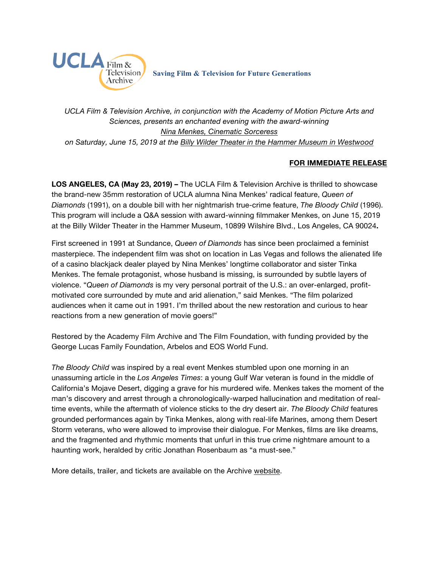

*UCLA Film & Television Archive, in conjunction with the Academy of Motion Picture Arts and Sciences, presents an enchanted evening with the award-winning [Nina Menkes, Cinematic Sorceress](https://www.cinema.ucla.edu/events/2019/06/15/night-with-nina-menkes) on Saturday, June 15, 2019 at the [Billy Wilder Theater in the Hammer Museum in Westwood](https://www.cinema.ucla.edu/billy-wilder-theater)*

## **FOR IMMEDIATE RELEASE**

**LOS ANGELES, CA (May 23, 2019) –** The UCLA Film & Television Archive is thrilled to showcase the brand-new 35mm restoration of UCLA alumna Nina Menkes' radical feature, *Queen of Diamonds* (1991), on a double bill with her nightmarish true-crime feature, *The Bloody Child* (1996). This program will include a Q&A session with award-winning filmmaker Menkes, on June 15, 2019 at the Billy Wilder Theater in the Hammer Museum, 10899 Wilshire Blvd., Los Angeles, CA 90024**.**

First screened in 1991 at Sundance, *Queen of Diamonds* has since been proclaimed a feminist masterpiece. The independent film was shot on location in Las Vegas and follows the alienated life of a casino blackjack dealer played by Nina Menkes' longtime collaborator and sister Tinka Menkes. The female protagonist, whose husband is missing, is surrounded by subtle layers of violence. "*Queen of Diamonds* is my very personal portrait of the U.S.: an over-enlarged, profitmotivated core surrounded by mute and arid alienation," said Menkes. "The film polarized audiences when it came out in 1991. I'm thrilled about the new restoration and curious to hear reactions from a new generation of movie goers!"

Restored by the Academy Film Archive and The Film Foundation, with funding provided by the George Lucas Family Foundation, Arbelos and EOS World Fund.

*The Bloody Child* was inspired by a real event Menkes stumbled upon one morning in an unassuming article in the *Los Angeles Times*: a young Gulf War veteran is found in the middle of California's Mojave Desert, digging a grave for his murdered wife. Menkes takes the moment of the man's discovery and arrest through a chronologically-warped hallucination and meditation of realtime events, while the aftermath of violence sticks to the dry desert air. *The Bloody Child* features grounded performances again by Tinka Menkes, along with real-life Marines, among them Desert Storm veterans, who were allowed to improvise their dialogue. For Menkes, films are like dreams, and the fragmented and rhythmic moments that unfurl in this true crime nightmare amount to a haunting work, heralded by critic Jonathan Rosenbaum as "a must-see."

More details, trailer, and tickets are available on the Archive [website.](https://www.cinema.ucla.edu/events/2019/06/15/night-with-nina-menkes)